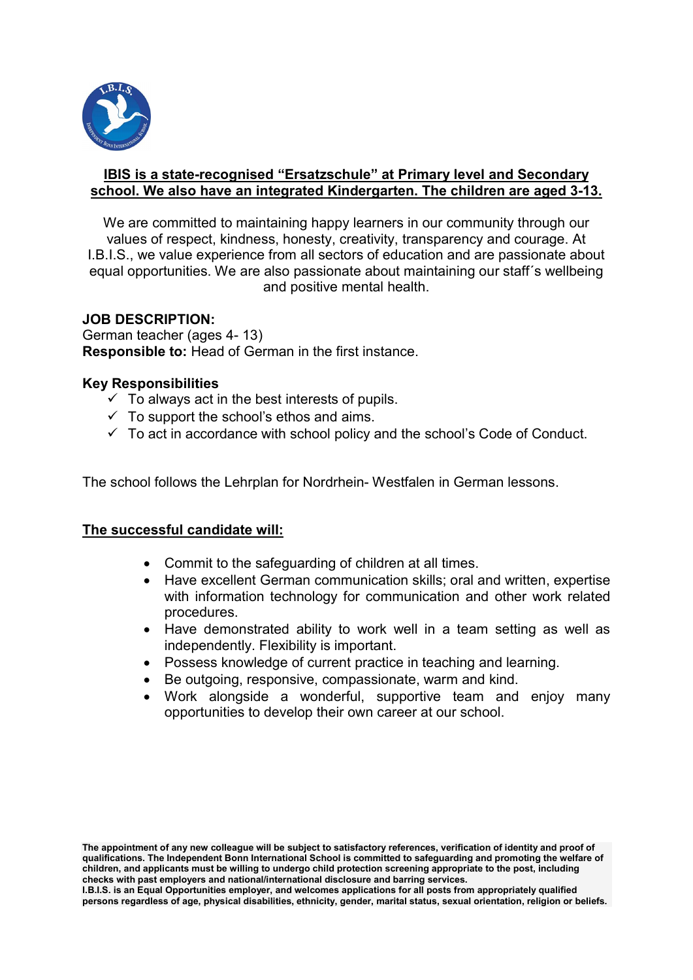

#### IBIS is a state-recognised "Ersatzschule" at Primary level and Secondary school. We also have an integrated Kindergarten. The children are aged 3-13.

We are committed to maintaining happy learners in our community through our values of respect, kindness, honesty, creativity, transparency and courage. At I.B.I.S., we value experience from all sectors of education and are passionate about equal opportunities. We are also passionate about maintaining our staff´s wellbeing and positive mental health.

# JOB DESCRIPTION:

German teacher (ages 4- 13) Responsible to: Head of German in the first instance.

## Key Responsibilities

- $\checkmark$  To always act in the best interests of pupils.
- $\checkmark$  To support the school's ethos and aims.
- $\checkmark$  To act in accordance with school policy and the school's Code of Conduct.

The school follows the Lehrplan for Nordrhein- Westfalen in German lessons.

## The successful candidate will:

- Commit to the safeguarding of children at all times.
- Have excellent German communication skills; oral and written, expertise with information technology for communication and other work related procedures.
- Have demonstrated ability to work well in a team setting as well as independently. Flexibility is important.
- Possess knowledge of current practice in teaching and learning.
- Be outgoing, responsive, compassionate, warm and kind.
- Work alongside a wonderful, supportive team and enjoy many opportunities to develop their own career at our school.

The appointment of any new colleague will be subject to satisfactory references, verification of identity and proof of qualifications. The Independent Bonn International School is committed to safeguarding and promoting the welfare of children, and applicants must be willing to undergo child protection screening appropriate to the post, including checks with past employers and national/international disclosure and barring services.

I.B.I.S. is an Equal Opportunities employer, and welcomes applications for all posts from appropriately qualified persons regardless of age, physical disabilities, ethnicity, gender, marital status, sexual orientation, religion or beliefs.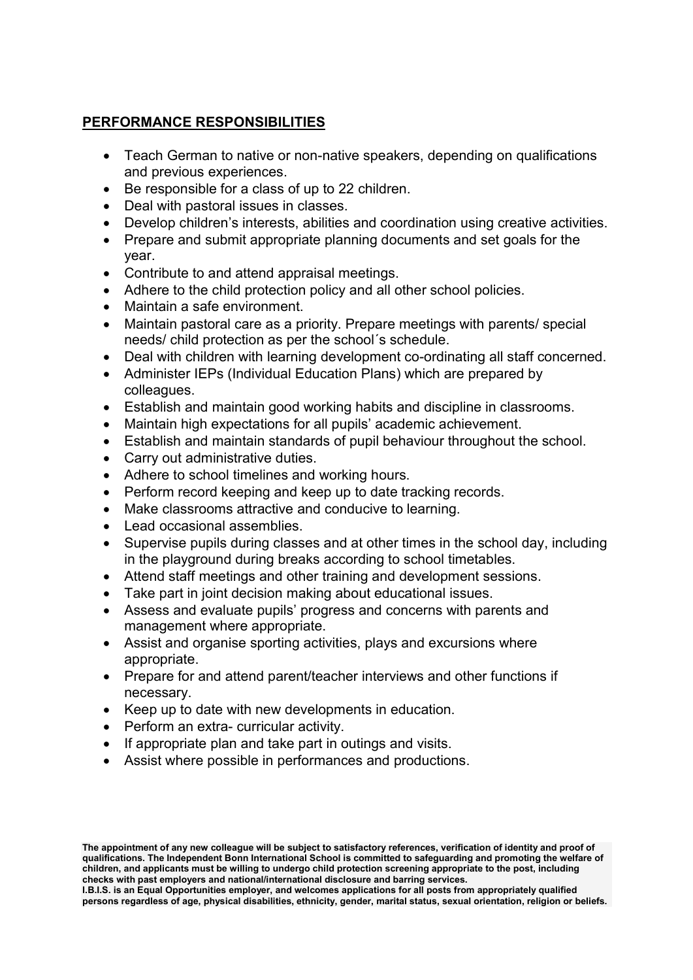# PERFORMANCE RESPONSIBILITIES

- Teach German to native or non-native speakers, depending on qualifications and previous experiences.
- Be responsible for a class of up to 22 children.
- Deal with pastoral issues in classes.
- Develop children's interests, abilities and coordination using creative activities.
- Prepare and submit appropriate planning documents and set goals for the year.
- Contribute to and attend appraisal meetings.
- Adhere to the child protection policy and all other school policies.
- Maintain a safe environment.
- Maintain pastoral care as a priority. Prepare meetings with parents/ special needs/ child protection as per the school´s schedule.
- Deal with children with learning development co-ordinating all staff concerned.
- Administer IEPs (Individual Education Plans) which are prepared by colleagues.
- Establish and maintain good working habits and discipline in classrooms.
- Maintain high expectations for all pupils' academic achievement.
- Establish and maintain standards of pupil behaviour throughout the school.
- Carry out administrative duties.
- Adhere to school timelines and working hours.
- Perform record keeping and keep up to date tracking records.
- Make classrooms attractive and conducive to learning.
- Lead occasional assemblies.
- Supervise pupils during classes and at other times in the school day, including in the playground during breaks according to school timetables.
- Attend staff meetings and other training and development sessions.
- Take part in joint decision making about educational issues.
- Assess and evaluate pupils' progress and concerns with parents and management where appropriate.
- Assist and organise sporting activities, plays and excursions where appropriate.
- Prepare for and attend parent/teacher interviews and other functions if necessary.
- Keep up to date with new developments in education.
- Perform an extra- curricular activity.
- If appropriate plan and take part in outings and visits.
- Assist where possible in performances and productions.

The appointment of any new colleague will be subject to satisfactory references, verification of identity and proof of qualifications. The Independent Bonn International School is committed to safeguarding and promoting the welfare of children, and applicants must be willing to undergo child protection screening appropriate to the post, including checks with past employers and national/international disclosure and barring services.

I.B.I.S. is an Equal Opportunities employer, and welcomes applications for all posts from appropriately qualified persons regardless of age, physical disabilities, ethnicity, gender, marital status, sexual orientation, religion or beliefs.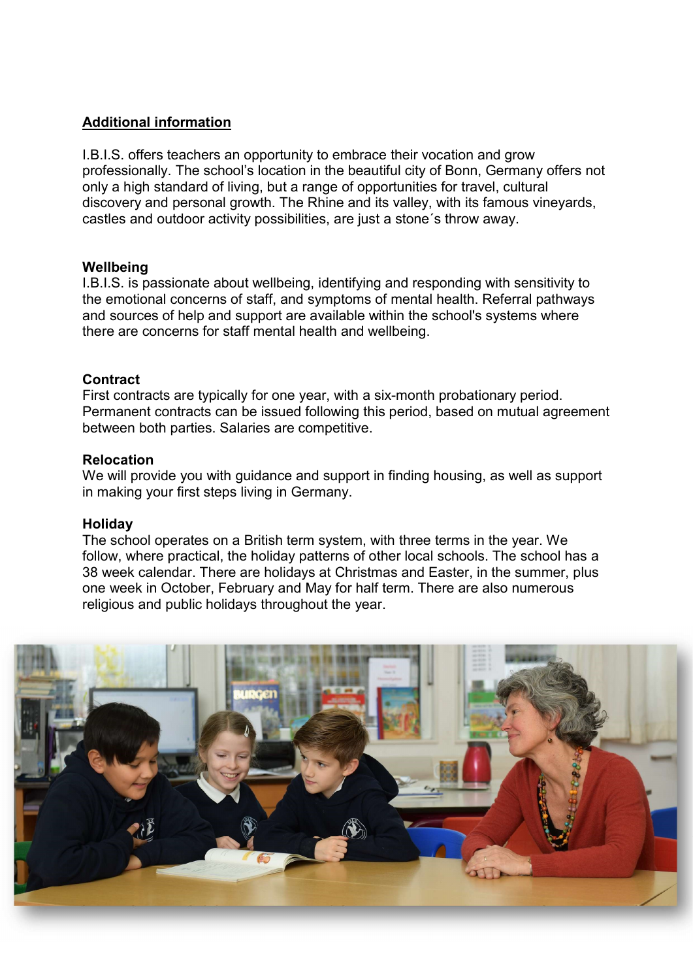# Additional information

I.B.I.S. offers teachers an opportunity to embrace their vocation and grow professionally. The school's location in the beautiful city of Bonn, Germany offers not only a high standard of living, but a range of opportunities for travel, cultural discovery and personal growth. The Rhine and its valley, with its famous vineyards, castles and outdoor activity possibilities, are just a stone´s throw away.

#### **Wellbeing**

I.B.I.S. is passionate about wellbeing, identifying and responding with sensitivity to the emotional concerns of staff, and symptoms of mental health. Referral pathways and sources of help and support are available within the school's systems where there are concerns for staff mental health and wellbeing.

#### **Contract**

First contracts are typically for one year, with a six-month probationary period. Permanent contracts can be issued following this period, based on mutual agreement between both parties. Salaries are competitive.

#### Relocation

We will provide you with guidance and support in finding housing, as well as support in making your first steps living in Germany.

#### Holiday

The school operates on a British term system, with three terms in the year. We follow, where practical, the holiday patterns of other local schools. The school has a 38 week calendar. There are holidays at Christmas and Easter, in the summer, plus one week in October, February and May for half term. There are also numerous religious and public holidays throughout the year.